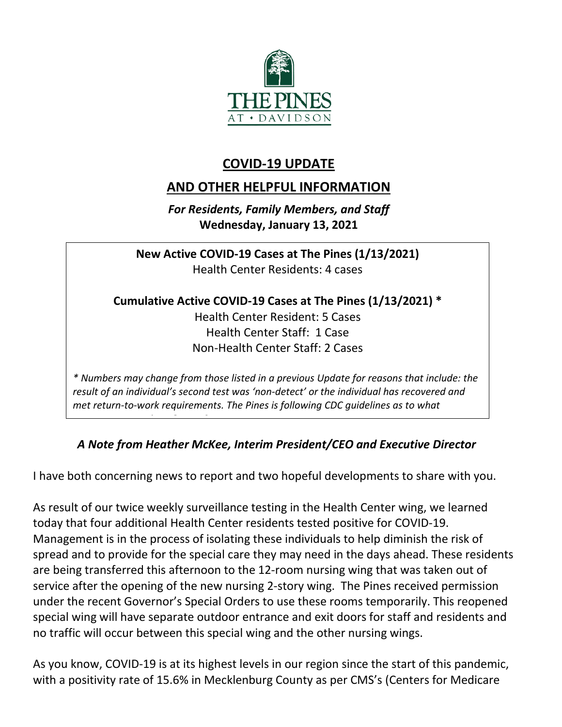

# **COVID-19 UPDATE**

# **AND OTHER HELPFUL INFORMATION**

*For Residents, Family Members, and Staff* **Wednesday, January 13, 2021**

**New Active COVID-19 Cases at The Pines (1/13/2021)** Health Center Residents: 4 cases

**Cumulative Active COVID-19 Cases at The Pines (1/13/2021) \***

Health Center Resident: 5 Cases Health Center Staff: 1 Case Non-Health Center Staff: 2 Cases

*\* Numbers may change from those listed in a previous Update for reasons that include: the result of an individual's second test was 'non-detect' or the individual has recovered and met return-to-work requirements. The Pines is following CDC guidelines as to what* 

## *A Note from Heather McKee, Interim President/CEO and Executive Director*

I have both concerning news to report and two hopeful developments to share with you.

 *i O 9* 

As result of our twice weekly surveillance testing in the Health Center wing, we learned today that four additional Health Center residents tested positive for COVID-19. Management is in the process of isolating these individuals to help diminish the risk of spread and to provide for the special care they may need in the days ahead. These residents are being transferred this afternoon to the 12-room nursing wing that was taken out of service after the opening of the new nursing 2-story wing. The Pines received permission under the recent Governor's Special Orders to use these rooms temporarily. This reopened special wing will have separate outdoor entrance and exit doors for staff and residents and no traffic will occur between this special wing and the other nursing wings.

As you know, COVID-19 is at its highest levels in our region since the start of this pandemic, with a positivity rate of 15.6% in Mecklenburg County as per CMS's (Centers for Medicare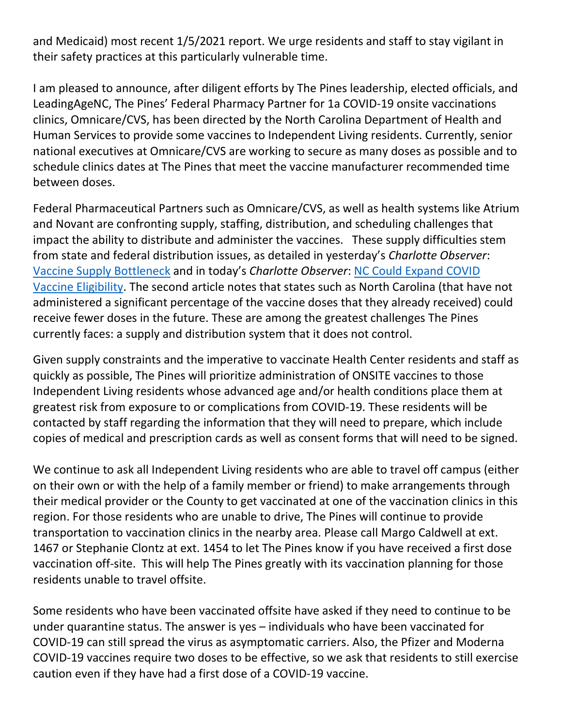and Medicaid) most recent 1/5/2021 report. We urge residents and staff to stay vigilant in their safety practices at this particularly vulnerable time.

I am pleased to announce, after diligent efforts by The Pines leadership, elected officials, and LeadingAgeNC, The Pines' Federal Pharmacy Partner for 1a COVID-19 onsite vaccinations clinics, Omnicare/CVS, has been directed by the North Carolina Department of Health and Human Services to provide some vaccines to Independent Living residents. Currently, senior national executives at Omnicare/CVS are working to secure as many doses as possible and to schedule clinics dates at The Pines that meet the vaccine manufacturer recommended time between doses.

Federal Pharmaceutical Partners such as Omnicare/CVS, as well as health systems like Atrium and Novant are confronting supply, staffing, distribution, and scheduling challenges that impact the ability to distribute and administer the vaccines. These supply difficulties stem from state and federal distribution issues, as detailed in yesterday's *Charlotte Observer*: [Vaccine Supply Bottleneck](https://www.charlotteobserver.com/news/coronavirus/article248446720.html?ac_cid=DM362595&ac_bid=-887860272) and in today's *Charlotte Observer*: [NC Could Expand COVID](https://www.charlotteobserver.com/news/coronavirus/article248446410.html)  [Vaccine Eligibility.](https://www.charlotteobserver.com/news/coronavirus/article248446410.html) The second article notes that states such as North Carolina (that have not administered a significant percentage of the vaccine doses that they already received) could receive fewer doses in the future. These are among the greatest challenges The Pines currently faces: a supply and distribution system that it does not control.

Given supply constraints and the imperative to vaccinate Health Center residents and staff as quickly as possible, The Pines will prioritize administration of ONSITE vaccines to those Independent Living residents whose advanced age and/or health conditions place them at greatest risk from exposure to or complications from COVID-19. These residents will be contacted by staff regarding the information that they will need to prepare, which include copies of medical and prescription cards as well as consent forms that will need to be signed.

We continue to ask all Independent Living residents who are able to travel off campus (either on their own or with the help of a family member or friend) to make arrangements through their medical provider or the County to get vaccinated at one of the vaccination clinics in this region. For those residents who are unable to drive, The Pines will continue to provide transportation to vaccination clinics in the nearby area. Please call Margo Caldwell at ext. 1467 or Stephanie Clontz at ext. 1454 to let The Pines know if you have received a first dose vaccination off-site. This will help The Pines greatly with its vaccination planning for those residents unable to travel offsite.

Some residents who have been vaccinated offsite have asked if they need to continue to be under quarantine status. The answer is yes – individuals who have been vaccinated for COVID-19 can still spread the virus as asymptomatic carriers. Also, the Pfizer and Moderna COVID-19 vaccines require two doses to be effective, so we ask that residents to still exercise caution even if they have had a first dose of a COVID-19 vaccine.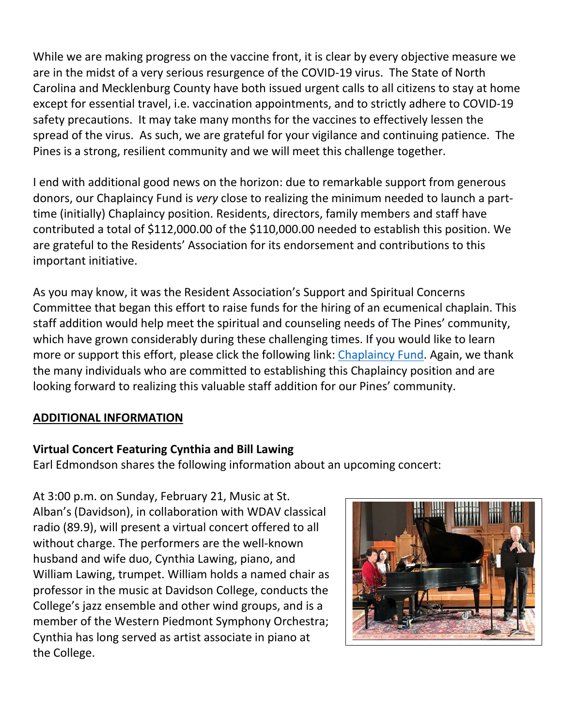While we are making progress on the vaccine front, it is clear by every objective measure we are in the midst of a very serious resurgence of the COVID-19 virus. The State of North Carolina and Mecklenburg County have both issued urgent calls to all citizens to stay at home except for essential travel, i.e. vaccination appointments, and to strictly adhere to COVID-19 safety precautions. It may take many months for the vaccines to effectively lessen the spread of the virus. As such, we are grateful for your vigilance and continuing patience. The Pines is a strong, resilient community and we will meet this challenge together.

I end with additional good news on the horizon: due to remarkable support from generous donors, our Chaplaincy Fund is *very* close to realizing the minimum needed to launch a parttime (initially) Chaplaincy position. Residents, directors, family members and staff have contributed a total of \$112,000.00 of the \$110,000.00 needed to establish this position. We are grateful to the Residents' Association for its endorsement and contributions to this important initiative.

As you may know, it was the Resident Association's Support and Spiritual Concerns Committee that began this effort to raise funds for the hiring of an ecumenical chaplain. This staff addition would help meet the spiritual and counseling needs of The Pines' community, which have grown considerably during these challenging times. If you would like to learn more or support this effort, please click the following link: [Chaplaincy Fund.](https://www.mycommunity-center.com/filephotos/463/brochure.pdf) Again, we thank the many individuals who are committed to establishing this Chaplaincy position and are looking forward to realizing this valuable staff addition for our Pines' community.

#### **ADDITIONAL INFORMATION**

## **Virtual Concert Featuring Cynthia and Bill Lawing**

Earl Edmondson shares the following information about an upcoming concert:

At 3:00 p.m. on Sunday, February 21, Music at St. Alban's (Davidson), in collaboration with WDAV classical radio (89.9), will present a virtual concert offered to all without charge. The performers are the well-known husband and wife duo, Cynthia Lawing, piano, and William Lawing, trumpet. William holds a named chair as professor in the music at Davidson College, conducts the College's jazz ensemble and other wind groups, and is a member of the Western Piedmont Symphony Orchestra; Cynthia has long served as artist associate in piano at the College.